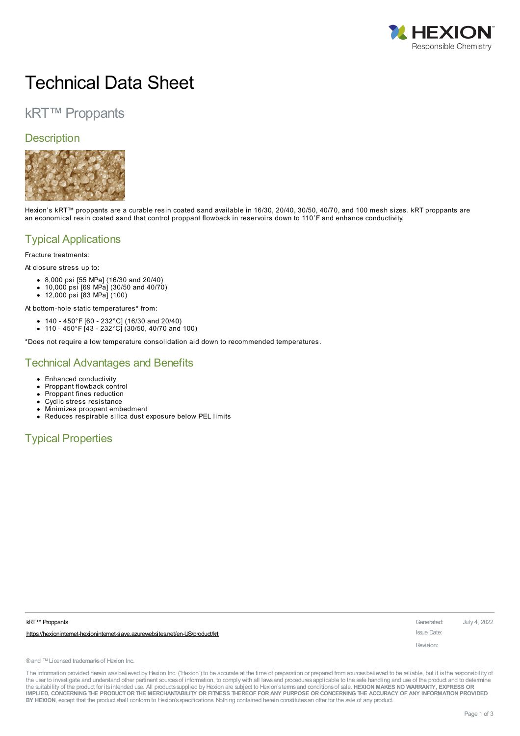

# Technical Data Sheet

# kRT™ Proppants

### **Description**



Hexion's kRT™ proppants are a curable resin coated sand available in 16/30, 20/40, 30/50, 40/70, and 100 mesh sizes. kRT proppants are an economical resin coated sand that control proppant flowback in reservoirs down to 110˚F and enhance conductivity.

# Typical Applications

Fracture treatments:

At closure stress up to:

- 8,000 psi [55 MPa] (16/30 and 20/40)
- 10,000 psi [69 MPa] (30/50 and 40/70)
- 12,000 psi [83 MPa] (100)

At bottom-hole static temperatures\* from:

- 140 450°F [60 232°C] (16/30 and 20/40)
- 110 450°F [43 232°C] (30/50, 40/70 and 100)

\*Does not require a low temperature consolidation aid down to recommended temperatures.

### Technical Advantages and Benefits

- Enhanced conductivity
- Proppant flowback control
- Proppant fines reduction
- Cyclic stress resistance
- Minimizes proppant embedment  $\bullet$ Reduces respirable silica dust exposure below PEL limits

## Typical Properties

| <b>kRT™</b> Proppants |  |
|-----------------------|--|
|-----------------------|--|

https://hexioninternet-hexioninternet-slave.azurewebsites.net/en-US/product/kt

**kRT™ Proppants** Generated: July 4, 2022 Issue Date:

Revision:

® and ™ Licensed trademarks of Hexion Inc.

The information provided herein was believed by Hexion Inc. ("Hexion") to be accurate at the time of preparation or prepared from sources believed to be reliable, but it is the responsibility of the user to investigate and understand other pertinent sources of information, to comply with all laws and procedures applicable to the safe handling and use of the product and to determine the suitability of the product for itsintended use. All productssupplied by Hexion are subject to Hexion'stermsand conditionsof sale. **HEXION MAKES NO WARRANTY, EXPRESS OR** IMPLIED, CONCERNING THE PRODUCT OR THE MERCHANTABILITY OR FITNESS THEREOF FOR ANY PURPOSE OR CONCERNING THE ACCURACY OF ANY INFORMATION PROVIDED **BY HEXION**, except that the product shall conform to Hexion'sspecifications. Nothing contained herein constitutesan offer for the sale of any product.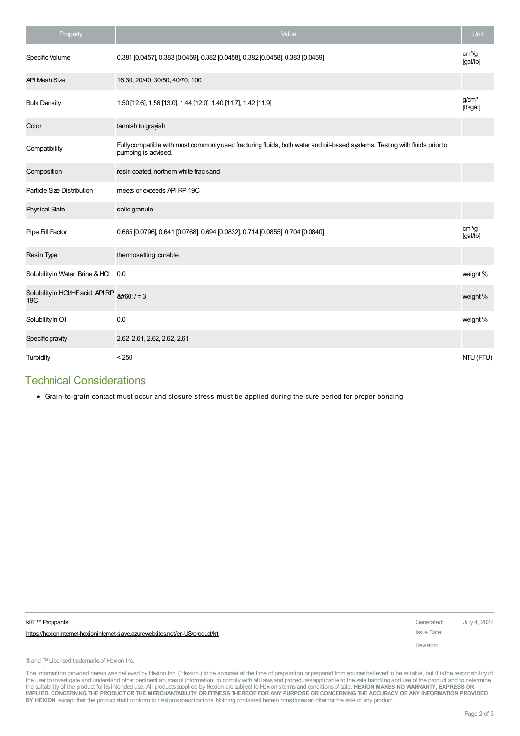| Property                                 | Value                                                                                                                                             | <b>Unit</b>                    |
|------------------------------------------|---------------------------------------------------------------------------------------------------------------------------------------------------|--------------------------------|
| Specific Volume                          | 0.381 [0.0457], 0.383 [0.0459], 0.382 [0.0458], 0.382 [0.0458], 0.383 [0.0459]                                                                    | cm <sup>3</sup> /g<br>[gal/lb] |
| <b>API Mesh Size</b>                     | 16,30, 20/40, 30/50, 40/70, 100                                                                                                                   |                                |
| <b>Bulk Density</b>                      | 1.50 [12.6], 1.56 [13.0], 1.44 [12.0], 1.40 [11.7], 1.42 [11.9]                                                                                   | g/cm <sup>3</sup><br>[lb/gal]  |
| Color                                    | tannish to grayish                                                                                                                                |                                |
| Compatibility                            | Fully compatible with most commonly used fracturing fluids, both water and oil-based systems. Testing with fluids prior to<br>pumping is advised. |                                |
| Composition                              | resin coated, northern white frac sand                                                                                                            |                                |
| Particle Size Distribution               | meets or exceeds API RP 19C                                                                                                                       |                                |
| <b>Physical State</b>                    | solid granule                                                                                                                                     |                                |
| Pipe Fill Factor                         | 0.665 [0.0796], 0.641 [0.0768], 0.694 [0.0832], 0.714 [0.0855], 0.704 [0.0840]                                                                    | cm <sup>3</sup> /g<br>[gal/lb] |
| Resin Type                               | thermosetting, curable                                                                                                                            |                                |
| Solubility in Water, Brine & HCl         | 0.0                                                                                                                                               | weight %                       |
| Solubility in HCl/HF acid, API RP<br>19C | $<  -3$                                                                                                                                           | weight%                        |
| Solubility In Oil                        | 0.0                                                                                                                                               | weight%                        |
| Specific gravity                         | 2.62, 2.61, 2.62, 2.62, 2.61                                                                                                                      |                                |
| Turbidity                                | < 250                                                                                                                                             | NTU (FTU)                      |

### Technical Considerations

Grain-to-grain contact must occur and closure stress must be applied during the cure period for proper bonding

| kRT™ Proppants                                                               | Generated:  | July 4, 2022 |
|------------------------------------------------------------------------------|-------------|--------------|
| https://hexionintemet-hexionintemet-slave.azurewebsites.net/en-US/product/kt | Issue Date: |              |
|                                                                              | Revision:   |              |
| ® and ™ Licensed trademarks of Hexion Inc.                                   |             |              |
|                                                                              |             |              |

The information provided herein wasbelieved by Hexion Inc. ("Hexion") to be accurate at the time of preparation or prepared from sources believed to be reliable, but it is the responsibility of<br>the user to investigate and IMPLIED, CONCERNING THE PRODUCT OR THE MERCHANTABILITY OR FITNESS THEREOF FOR ANY PURPOSE OR CONCERNING THE ACCURACY OF ANY INFORMATION PROVIDED **BY HEXION**, except that the product shall conform to Hexion'sspecifications. Nothing contained herein constitutesan offer for the sale of any product.